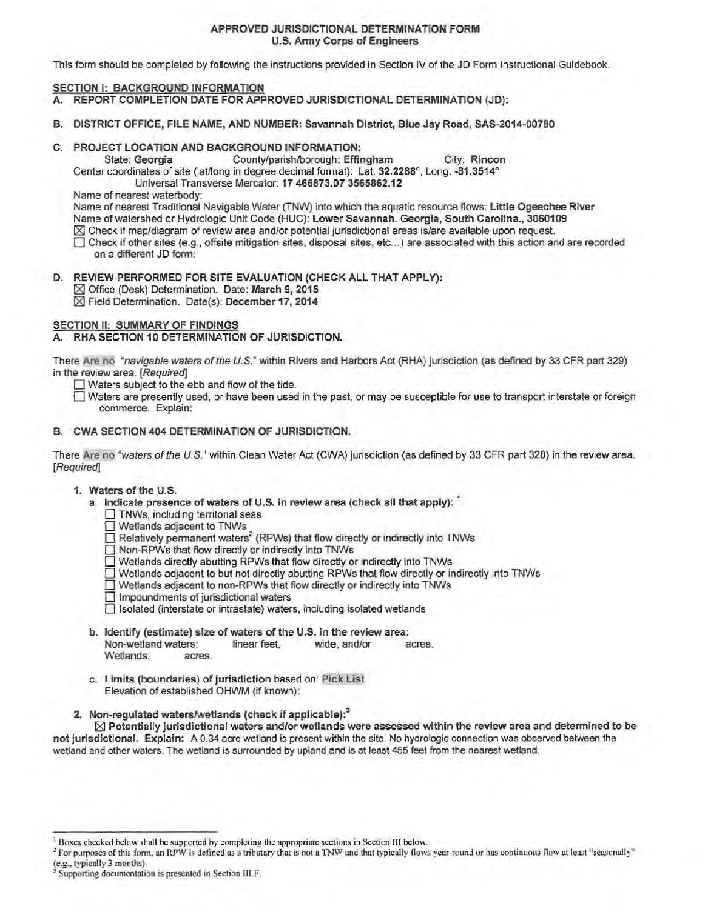## APPROVED JURISDICTIONAL DETERMINATION FORM U.S. Army Corps of Engineers

This form should be completed by following the instructions provided in Section IV of the JD Form Instructional Guidebook.

# SECTION I: BACKGROUND INFORMATION

- A. REPORT COMPLETION DATE FOR APPROVED JURISDICTIONAL DETERMINATION (JD):
- B. DISTRICT OFFICE, FILE NAME, AND NUMBER: Savannah District, Blue Jay Road, SAS-2014-00780
- C. PROJECT LOCATION AND BACKGROUND INFORMATION:<br>State: Georgia County/parish/borough: Effi

County/parish/borough: Effingham City: Rincon Center coordinates of site (laUlong in degree decimal format): Lat. 32.2288°, Long. -81.3514° Universal Transverse Mercator: 17 466873.07 3565862.12

Name of nearest waterbody:

Name of nearest Traditional Navigable Water (TNW) into which the aquatic resource flows: Little Ogeechee River

- Name of watershed or Hydrologic Unit Code (HUC): Lower Savannah. Georgia, South Carolina., 3060109
- $\boxtimes$  Check if map/diagram of review area and/or potential jurisdictional areas is/are available upon request.
- 0 Check if other sites (e.g., offsite mitigation sites, disposal sites, etc ... ) are associated with this action and are recorded on a different JD form:
- D. REVIEW PERFORMED FOR SITE EVALUATION (CHECK ALL THAT APPLY): ~Office (Desk) Determination. Date: March 9, 2015  $%$  Field Determination. Date(s): December 17, 2014

# SECTION II: SUMMARY OF FINDINGS

A. RHA SECTION 10 DETERMINATION OF JURISDICTION.

There Are no "navigable waters ofthe U.S." within Rivers and Harbors Act (RHA) jurisdiction (as defined by 33 CFR part 329) in the review area. [Required]

 $\Box$  Waters subject to the ebb and flow of the tide.

 $\Box$  Waters are presently used, or have been used in the past, or may be susceptible for use to transport interstate or foreign commerce. Explain:

## B. CWA SECTION 404 DETERMINATION OF JURISDICTION.

There Are no "waters of the U.S." within Clean Water Act (CWA) jurisdiction (as defined by 33 CFR part 328) in the review area. [Required]

### 1. Waters of the U.S.

- a. Indicate presence of waters of U.S. in review area (check all that apply): <sup>1</sup>
	- $\Box$  TNWs, including territorial seas

Wetlands adjacent to TNWs

- $\Box$  Relatively permanent waters<sup>2</sup> (RPWs) that flow directly or indirectly into TNWs
- □ Non-RPWs that flow directly or indirectly into TNWs
- $\Box$  Wetlands directly abutting RPWs that flow directly or indirectly into TNWs
- 0 Wetlands adjacent to but not directly abutting RPWs that flow directly or indirectly into TNWs
- 0 Wetlands adjacent to non-RPWs that flow directly or indirectly into TNWs
- $\Box$  Impoundments of jurisdictional waters

 $\Box$  Isolated (interstate or intrastate) waters, including isolated wetlands

- b. Identify (estimate) size of waters of the U.S. in the review area: Non-wetland waters: linear feet, wide, and/or acres. Wetlands: acres.
- c. Limits (boundaries) of jurisdiction based on: Pick List Elevation of established OHWM (if known):
- 2. Non-regulated waters/wetlands (check if applicable):<sup>3</sup>

 $\boxtimes$  Potentially jurisdictional waters and/or wetlands were assessed within the review area and determined to be not jurisdictional. Explain: A 0.34 acre wetland is present within the site. No hydrologic connection was observed between the wetland and other waters. The wetland is surrounded by upland and is at least 455 feet from the nearest wetland.

<sup>2</sup> For purposes of this form, an RPW is defined as a tributary that is not a TNW and that typically flows year-round or has continuous flow at least "seasonally" (e.g., typically 3 months).

<sup>&</sup>lt;sup>1</sup> Boxes checked below shall be supported by completing the appropriate sections in Section III below.

Supporting documentation is presented in Section III.F.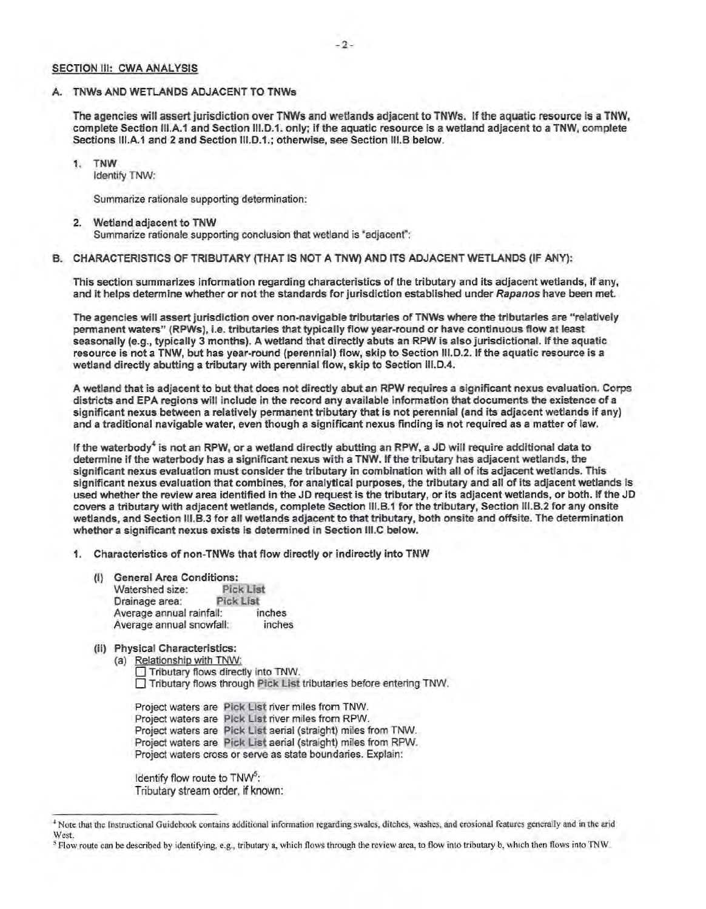### SECTION III: CWA ANALYSIS

#### A. TNWs AND WETLANDS ADJACENT TO TNWs

The agencies will assert jurisdiction over TNWs and wetlands adjacent to TNWs. If the aquatic resource is a TNW, complete Section 111.A.1 and Section 111.D.1. only; if the aquatic resource is a wetland adjacent to a TNW, complete Sections III.A.1 and 2 and Section III.D.1.; otherwise, see Section III.B below.

1. TNW Identify TNW:

Summarize rationale supporting determination:

#### 2. Wetland adjacent to TNW Summarize rationale supporting conclusion that wetland is "adjacenf':

B. CHARACTERISTICS OF TRIBUTARY (THAT IS NOT A TNW) AND ITS ADJACENT WETLANDS (IF ANY):

This section summarizes information regarding characteristics of the tributary and its adjacent wetlands, if any, and it helps determine whether or not the standards for jurisdiction established under Rapanos have been met.

The agencies will assert jurisdiction over non-navigable tributaries of TNWs where the tributaries are "relatively permanent waters" (RPWs), i.e. tributaries that typically flow year-round or have continuous flow at least seasonally (e.g., typically 3 months). A wetland that directly abuts an RPW is also jurisdictional. If the aquatic resource is not a TNW, but has year-round (perennial) flow, skip to Section 111.D.2. If the aquatic resource is a wetland directly abutting a tributary with perennial flow, skip to Section 111.D.4.

A wetland that is adjacent to but that does not directly abut an RPW requires a significant nexus evaluation. Corps districts and EPA regions will include in the record any available information that documents the existence of a significant nexus between a relatively permanent tributary that is not perennial (and its adjacent wetlands if any) and a traditional navigable water, even though a significant nexus finding is not required as a matter of law.

If the waterbody<sup>4</sup> is not an RPW, or a wetland directly abutting an RPW, a JD will require additional data to determine if the waterbody has a significant nexus with a TNW. If the tributary has adjacent wetlands, the significant nexus evaluation must consider the tributary in combination with all of its adjacent wetlands. This significant nexus evaluation that combines, for analytical purposes, the tributary and all of its adjacent wetlands is used whether the review area identified in the JD request is the tributary, or its adjacent wetlands, or both. If the JD covers a tributary with adjacent wetlands, complete Section 111.B.1 for the tributary, Section 111.B.2 for any onsite wetlands, and Section 111.B.3 for all wetlands adjacent to that tributary, both onsite and offsite. The determination whether a significant nexus exists is determined in Section 111.C below.

Characteristics of non-TNWs that flow directly or indirectly into TNW

- General Area Conditions: Watershed size: Pick List Drainage area: Pick List Average annual rainfall: inches Average annual snowfall: inches
- (ii) Physical Characteristics:
	- (a) Relationship with TNW: Tributary flows directly into TNW. 0 Tributary flows through Pick List tributaries before entering TNW.

Project waters are Pick List river miles from TNW. Project waters are Pick List river miles from RPW. Project waters are Pick List aerial (straight) miles from TNW. Project waters are Pick List aerial (straight) miles from RPW.

Project waters cross or serve as state boundaries. Explain:

Identify flow route to TNW<sup>5</sup>: Tributary stream order, if known:

<sup>•</sup>Note that the Instructional Guidebook contains additional infonnation regarding swales, ditches, washes, and erosional features generally and in the arid West.

*<sup>5</sup>* Flow route can be described by identifying, e.g., tributary a, which nows through the review area, to flow into tributary b, which then flows into TNW.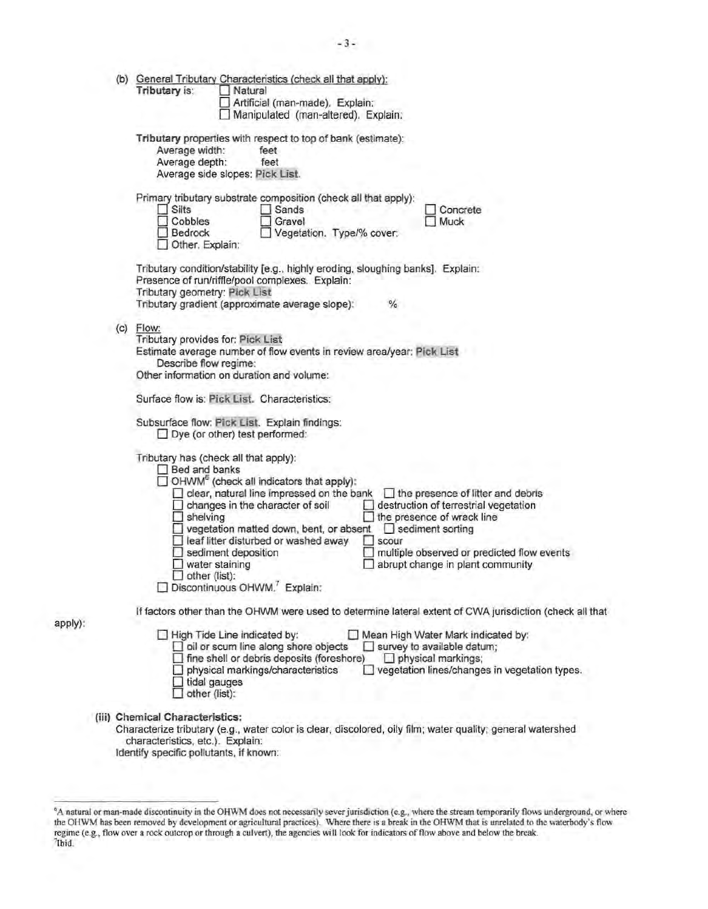|     | (b) General Tributary Characteristics (check all that apply):<br>Tributary is:<br>Natural<br>Artificial (man-made). Explain:<br>Manipulated (man-altered). Explain:                                                                                                                                                                                                                                                                                                                                                                                                                                                                                                               |
|-----|-----------------------------------------------------------------------------------------------------------------------------------------------------------------------------------------------------------------------------------------------------------------------------------------------------------------------------------------------------------------------------------------------------------------------------------------------------------------------------------------------------------------------------------------------------------------------------------------------------------------------------------------------------------------------------------|
|     | Tributary properties with respect to top of bank (estimate):<br>Average width:<br>feet<br>Average depth:<br>feet<br>Average side slopes: Pick List.                                                                                                                                                                                                                                                                                                                                                                                                                                                                                                                               |
|     | Primary tributary substrate composition (check all that apply):<br>Silts<br>$\Box$ Sands<br>Concrete<br>Cobbles<br>Gravel<br>Muck<br>Bedrock<br>Vegetation. Type/% cover:<br>Other. Explain:                                                                                                                                                                                                                                                                                                                                                                                                                                                                                      |
|     | Tributary condition/stability [e.g., highly eroding, sloughing banks]. Explain:<br>Presence of run/riffle/pool complexes. Explain:<br>Tributary geometry: Pick List<br>Tributary gradient (approximate average slope):<br>$\frac{9}{6}$                                                                                                                                                                                                                                                                                                                                                                                                                                           |
| (c) | Flow:<br>Tributary provides for: Pick List<br>Estimate average number of flow events in review area/year: Pick List<br>Describe flow regime:<br>Other information on duration and volume:                                                                                                                                                                                                                                                                                                                                                                                                                                                                                         |
|     | Surface flow is: Pick List. Characteristics:                                                                                                                                                                                                                                                                                                                                                                                                                                                                                                                                                                                                                                      |
|     | Subsurface flow: Pick List. Explain findings:<br>$\Box$ Dye (or other) test performed:                                                                                                                                                                                                                                                                                                                                                                                                                                                                                                                                                                                            |
|     | Tributary has (check all that apply):<br><b>Bed and banks</b><br>$\Box$ OHWM <sup>6</sup> (check all indicators that apply):<br>clear, natural line impressed on the bank<br>$\Box$ the presence of litter and debris<br>changes in the character of soil<br>destruction of terrestrial vegetation<br>$\Box$ shelving<br>$\Box$ the presence of wrack line<br>vegetation matted down, bent, or absent<br>$\Box$ sediment sorting<br>leaf litter disturbed or washed away<br>scour<br>sediment deposition<br>multiple observed or predicted flow events<br>water staining<br>abrupt change in plant community<br>$\Box$ other (list):<br>Discontinuous OHWM. <sup>7</sup> Explain: |
|     | If factors other than the OHWM were used to determine lateral extent of CWA jurisdiction (check all that                                                                                                                                                                                                                                                                                                                                                                                                                                                                                                                                                                          |
|     | High Tide Line indicated by:<br>Mean High Water Mark indicated by:<br>oil or scum line along shore objects<br>$\Box$ survey to available datum;<br>$\Box$ fine shell or debris deposits (foreshore)<br>$\Box$ physical markings;<br>vegetation lines/changes in vegetation types.<br>physical markings/characteristics<br>$\Box$ tidal gauges<br>other (list):                                                                                                                                                                                                                                                                                                                    |
|     | (iii) Chemical Characteristics:<br>Characterize tributary (e.g., water color is clear, discolored, oily film; water quality; general watershed<br>characteristics, etc.). Explain:<br>Identify specific pollutants, if known:                                                                                                                                                                                                                                                                                                                                                                                                                                                     |

apply):

<sup>&</sup>lt;sup>6</sup>A natural or man-made discontinuity in the OHWM does not necessarily sever jurisdiction (e.g., where the stream temporarily flows underground, or where the OHWM has been removed by development or agricultural practices)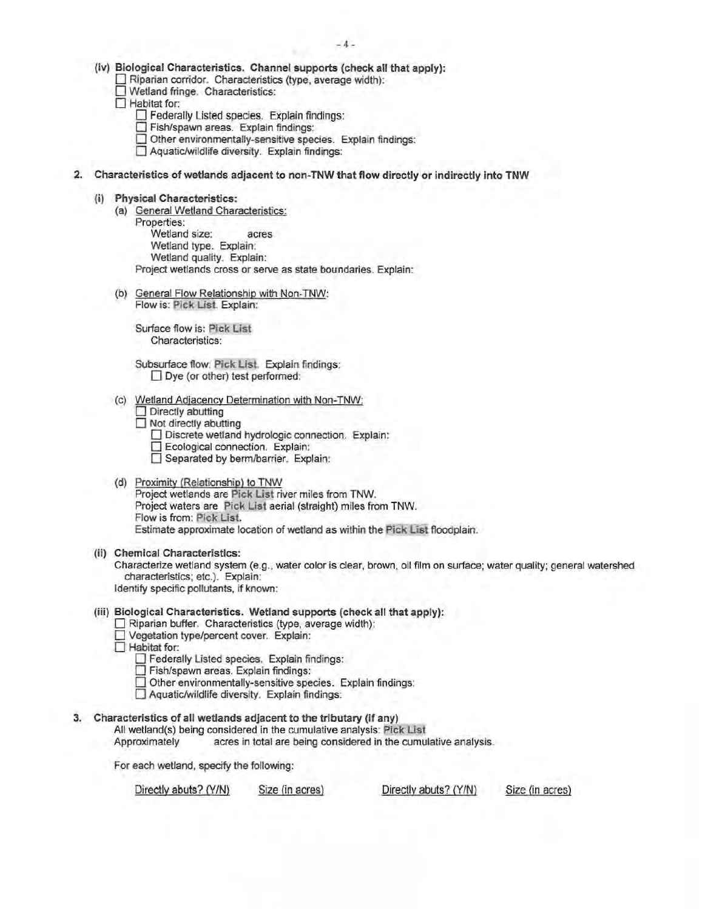- (iv) Biological Characteristics. Channel supports (check all that apply):
	- 0 Riparian corridor. Characteristics (type, average width):
	- 0 Wetland fringe. Characteristics:
	- $\Box$  Habitat for:
		- $\Box$  Federally Listed species. Explain findings:
		- 0 Fish/spawn areas. Explain findings:
		- $\Box$  Other environmentally-sensitive species. Explain findings:
		- $\Box$  Aquatic/wildlife diversity. Explain findings:
- 2. Characteristics of wetlands adjacent to non-TNW that flow directly or indirectly into TNW
	- (i) Physical Characteristics:
		- (a) General Wetland Characteristics: Properties: Wetland size: acres Wetland type. Explain:
			- Wetland quality. Explain:

Project wetlands cross or serve as state boundaries. Explain:

(b) General Flow Relationship with Non-TNW: Flow is: Pick List. Explain:

Surface flow is: Pick List Characteristics:

- Subsurface flow: Pick List. Explain findings:  $\Box$  Dye (or other) test performed:
- Wetland Adjacency Determination with Non-TNW:
	- $\Box$  Directly abutting
	- $\Box$  Not directly abutting
		- Discrete wetland hydrologic connection. Explain:
		- **Ecological connection.** Explain:
		- **D** Separated by berm/barrier. Explain:
- (d) Proximity (Relationship) to TNW Project wetlands are Pick List river miles from TNW. Project waters are Pick List aerial (straight) miles from TNW. Flow is from: Pick List. Estimate approximate location of wetland as within the Pick List floodplain.
- (ii) Chemical Characteristics:

Characterize wetland system (e.g., water color is clear, brown, oil film on surface; water quality; general watershed characteristics; etc.). Explain: Identify specific pollutants, if known:

# (iii) Biological Characteristics. Wetland supports (check all that apply):

- Riparian buffer. Characteristics (type, average width):
- D Vegetation type/percent cover. Explain:
- □ Habitat for:
	- **D** Federally Listed species. Explain findings:
	- 0 Fish/spawn areas. Explain findings:
	- $\Box$  Other environmentally-sensitive species. Explain findings:
	- 0 Aquatic/wildlife diversity. Explain findings:
- 3. Characteristics of all wetlands adjacent to the tributary (if any)

All wetland(s) being considered in the cumulative analysis: Pick List

Approximately acres in total are being considered in the cumulative analysis.

For each wetland, specify the following:

Directly abuts? (Y/N) Size (in acres) Directly abuts? (Y/N) Size (in acres)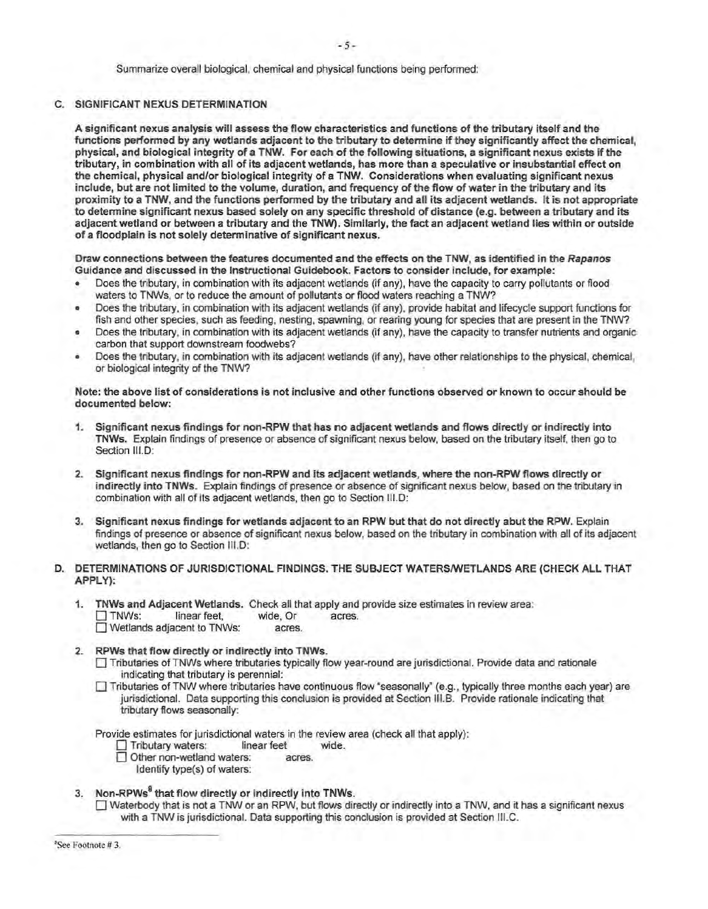Summarize overall biological, chemical and physical functions being performed:

## C. SIGNIFICANT NEXUS DETERMINATION

A significant nexus analysis will assess the flow characteristics and functions of the tributary itself and the functions perfonned by any wetlands adjacent to the tributary to detennine if they significantly affect the chemical, physical, and biological integrity of a TNW. For each of the following situations, a significant nexus exists if the tributary, in combination with all of its adjacent wetlands, has more than a speculative or insubstantial effect on the chemical, physical and/or biological integrity of a TNW. Considerations when evaluating significant nexus include, but are not limited to the volume, duration, and frequency of the flow of water in the tributary and its proximity to a TNW, and the functions perfonned by the tributary and all its adjacent wetlands. It is not appropriate to determine significant nexus based solely on any specific threshold of distance (e.g. between a tributary and its adjacent wetland or between a tributary and the TNW). Similarly, the fact an adjacent wetland lies within or outside of a floodplain is not solely determinative of significant nexus.

Draw connections between the features documented and the effects on the TNW, as identified in the Rapanos Guidance and discussed in the Instructional Guidebook. Factors to consider include, for example:

- Does the tributary, in combination with its adjacent wetlands (if any), have the capacity to carry pollutants or flood waters to TNWs, or to reduce the amount of pollutants or flood waters reaching a TNW?
- Does the tributary, in combination with its adjacent wetlands (if any), provide habitat and lifecycle support functions for fish and other species, such as feeding, nesting, spawning, or rearing young for species that are present in the TNW?
- Does the tributary, in combination with its adjacent wetlands (if any), have the capacity to transfer nutrients and organic carbon that support downstream foodwebs?
- Does the tributary, in combination with its adjacent wetlands (if any), have other relationships to the physical, chemical, or biological integrity of the TNW?

Note: the above list of considerations is not inclusive and other functions observed or known to occur should be documented below:

- 1. Significant nexus findings for non-RPW that has no adjacent wetlands and flows directly or indirectly into TNWs. Explain findings of presence or absence of significant nexus below, based on the tributary itself, then go to Section III.D:
- 2. Significant nexus findings for non-RPW and its adjacent wetlands, where the non-RPW flows directly or indirectly into TNWs. Explain findings of presence or absence of significant nexus below, based on the tributary in combination with all of its adjacent wetlands, then go to Section 111.D:
- 3. Significant nexus findings for wetlands adjacent to an RPW but that do not directly abut the RPW. Explain findings of presence or absence of significant nexus below, based on the tributary in combination with all of its adjacent wetlands, then go to Section III.D:
- D. DETERMINATIONS OF JURISDICTIONAL FINDINGS. THE SUBJECT WATERS/WETLANDS ARE (CHECK ALL THAT APPLY):
	- 1. TNWs and Adjacent Wetlands. Check all that apply and provide size estimates in review area: □ TNWs: linear feet, wide, Or acres.<br>□ Wetlands adiacent to TNWs: acres.  $\Box$  Wetlands adjacent to TNWs:
	- 2. RPWs that flow directly or indirectly into TNWs.
		- D Tributaries of TNWs where tributaries typically flow year-round are jurisdictional. Provide data and rationale indicating that tributary is perennial:
		- $\Box$  Tributaries of TNW where tributaries have continuous flow "seasonally" (e.g., typically three months each year) are jurisdictional. Data supporting this conclusion is provided at Section 111.B. Provide rationale indicating that tributary flows seasonally:

Provide estimates for jurisdictional waters in the review area (check all that apply):<br>  $\Box$  Tributary waters: linear feet wide.

- 0 Tributary waters: linear feet wide.
- Other non-wetland waters: acres.
	- Identify type(s) of waters:
- 3. Non-RPWs<sup>8</sup> that flow directly or indirectly into TNWs.

D Waterbody that is not a TNW or an RPW, but flows directly or indirectly into a TNW, and it has a significant nexus with a TNW is jurisdictional. Data supporting this conclusion is provided at Section 111.C.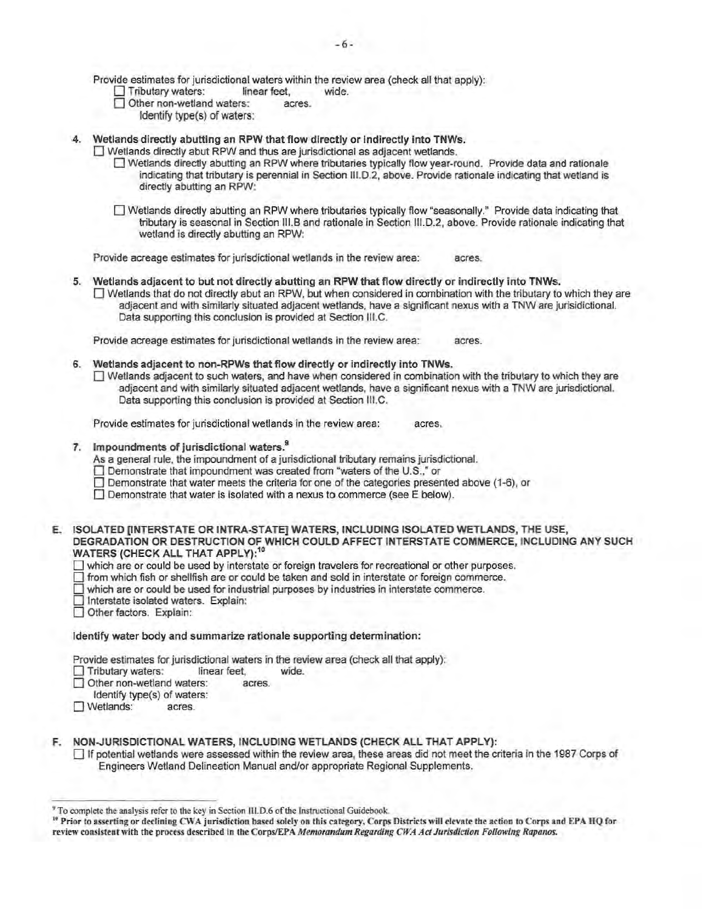Provide estimates for jurisdictional waters within the review area (check all that apply):

- $\Box$  Tributary waters: linear feet, wide.<br> $\Box$  Other non-wetland waters: acres.
- $\Box$  Other non-wetland waters:
	- Identify type(s) of waters:
- 4. Wetlands directly abutting an RPW that flow directly or indirectly into TNWs.
	- $\Box$  Wetlands directly abut RPW and thus are jurisdictional as adjacent wetlands.
		- D Wetlands directly abutting an RPW where tributaries typically flow year-round. Provide data and rationale indicating that tributary is perennial in Section 111.D.2, above. Provide rationale indicating that wetland is directly abutting an RPW:
		- 0 Wetlands directly abutting an RPW where tributaries typically flow "seasonally." Provide data indicating that tributary is seasonal in Section 111.B and rationale in Section 111.D.2, above. Provide rationale indicating that wetland is directly abutting an RPW:

Provide acreage estimates for jurisdictional wetlands in the review area: acres.

5. Wetlands adjacent to but not directly abutting an RPW that flow directly or indirectly into TNWs.  $\Box$  Wetlands that do not directly abut an RPW, but when considered in combination with the tributary to which they are adjacent and with similarly situated adjacent wetlands, have a significant nexus with a TNW are jurisidictional. Data supporting this conclusion is provided at Section 111.C.

Provide acreage estimates for jurisdictional wetlands in the review area: acres.

- 6. Wetlands adjacent to non-RPWs that flow directly or indirectly into TNWs.
	- $\Box$  Wetlands adjacent to such waters, and have when considered in combination with the tributary to which they are adjacent and with similarly situated adjacent wetlands, have a significant nexus with a TNW are jurisdictional. Data supporting this conclusion is provided at Section 111.C.

Provide estimates for jurisdictional wetlands in the review area: acres.

7. Impoundments of jurisdictional waters.<sup>9</sup>

As a general rule, the impoundment of a jurisdictional tributary remains jurisdictional.

- □ Demonstrate that impoundment was created from "waters of the U.S.," or
- $\Box$  Demonstrate that water meets the criteria for one of the categories presented above (1-6), or
- $\Box$  Demonstrate that water is isolated with a nexus to commerce (see E below).
- E. ISOLATED [INTERSTATE OR INTRA-STATE] WATERS, INCLUDING ISOLATED WETLANDS, THE USE, DEGRADATION OR DESTRUCTION OF WHICH COULD AFFECT INTERSTATE COMMERCE, INCLUDING ANY SUCH WATERS (CHECK ALL THAT APPLY):<sup>10</sup>
	- D which are or could be used by interstate or foreign travelers for recreational or other purposes.
	- 0 from which fish or shellfish are or could be taken and sold in interstate or foreign commerce.
	- $\Box$  which are or could be used for industrial purposes by industries in interstate commerce.
	- D Interstate isolated waters. Explain:
	- Other factors. Explain:

#### Identify water body and summarize rationale supporting determination:

Provide estimates for jurisdictional waters in the review area (check all that apply):

**D** Tributary waters: linear feet, wide.

Other non-wetland waters: acres.

- Identify type{s) of waters:
- D Wetlands: acres.
- F. NON-JURISDICTIONAL WATERS, INCLUDING WETLANDS (CHECK ALL THAT APPLY):
	- $\Box$  If potential wetlands were assessed within the review area, these areas did not meet the criteria in the 1987 Corps of Engineers Wetland Delineation Manual and/or appropriate Regional Supplements.

<sup>&</sup>lt;sup>9</sup> To complete the analysis refer to the key in Section III.D.6 of the Instructional Guidebook.

<sup>&</sup>lt;sup>10</sup> Prior to asserting or declining CWA jurisdiction based solely on this category, Corps Districts will elevate the action to Corps and EPA HQ for review consistent with the process described in the Corps/EPA Memorandum Regarding CWA Act Jurisdiction Following Rapanos.